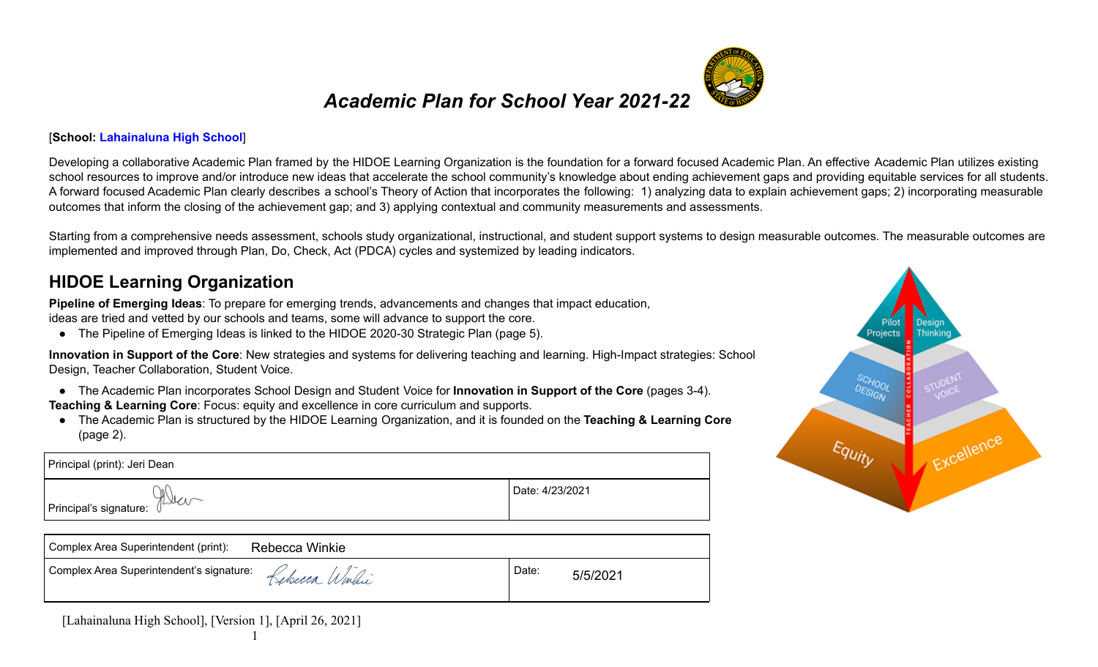## *Academic Plan for School Year 2021-22*

#### [**School: Lahainaluna High School**]

Developing a collaborative Academic Plan framed by the HIDOE Learning Organization is the foundation for a forward focused Academic Plan. An effective Academic Plan utilizes existing school resources to improve and/or introduce new ideas that accelerate the school community's knowledge about ending achievement gaps and providing equitable services for all students. A forward focused Academic Plan clearly describes a school's Theory of Action that incorporates the following: 1) analyzing data to explain achievement gaps; 2) incorporating measurable outcomes that inform the closing of the achievement gap; and 3) applying contextual and community measurements and assessments.

Starting from a comprehensive needs assessment, schools study organizational, instructional, and student support systems to design measurable outcomes. The measurable outcomes are implemented and improved through Plan, Do, Check, Act (PDCA) cycles and systemized by leading indicators.

#### **HIDOE Learning Organization**

**Pipeline of Emerging Ideas**: To prepare for emerging trends, advancements and changes that impact education, ideas are tried and vetted by our schools and teams, some will advance to support the core.

● The Pipeline of Emerging Ideas is linked to the HIDOE 2020-30 Strategic Plan (page 5).

**Innovation in Support of the Core**: New strategies and systems for delivering teaching and learning. High-Impact strategies: School Design, Teacher Collaboration, Student Voice.

- The Academic Plan incorporates School Design and Student Voice for **Innovation in Support of the Core** (pages 3-4).
- **Teaching & Learning Core**: Focus: equity and excellence in core curriculum and supports.
- The Academic Plan is structured by the HIDOE Learning Organization, and it is founded on the **Teaching & Learning Core** (page 2).

| I Principal's signature: 1 | Date: 4/23/2021 |
|----------------------------|-----------------|

| Complex Area Superintendent (print):                         | Rebecca Winkie |       |          |
|--------------------------------------------------------------|----------------|-------|----------|
| Complex Area Superintendent's signature:<br>$Kebecea$ Windic |                | Date: | 5/5/2021 |



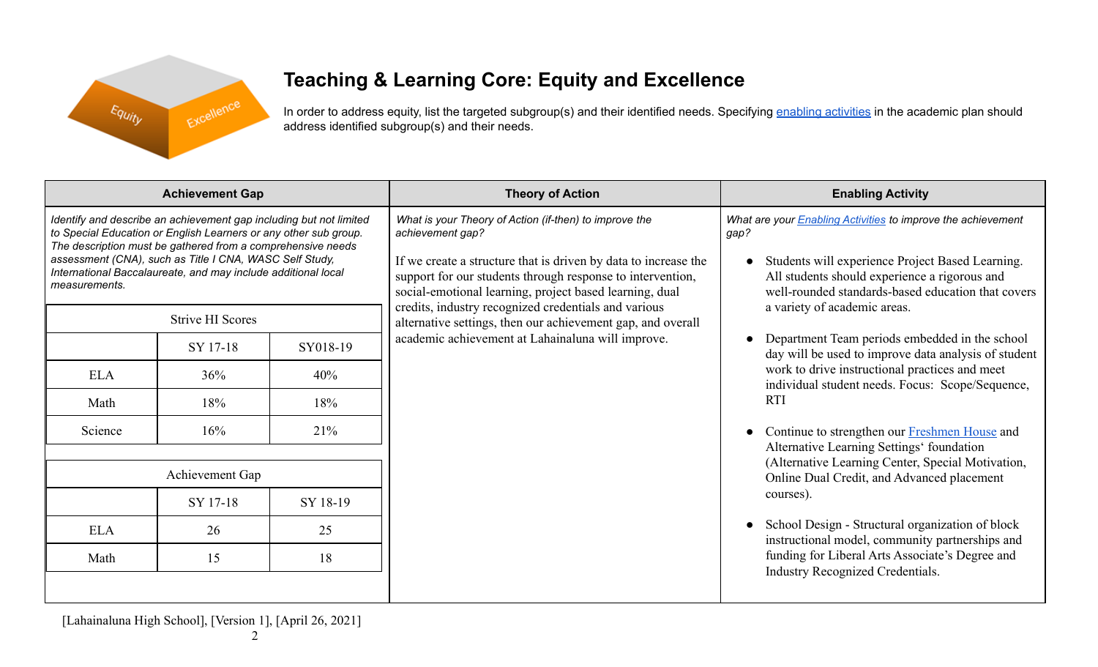

# **Teaching & Learning Core: Equity and Excellence**

In order to address equity, list the targeted subgroup(s) and their identified needs. Specifying enabling [activities](https://docs.google.com/document/d/1_CBCCCUPTqpr2sEeh1fQ9EUVupyhBBZlYUdzcm9zCw0/edit) in the academic plan should address identified subgroup(s) and their needs.

| <b>Achievement Gap</b>                                                                                                                                                                                                                                                                                                                             |                         |          | <b>Theory of Action</b>                                                                                                                                                                                                                                                                                                        | <b>Enabling Activity</b>                                                                                                                                                                                                                                               |  |
|----------------------------------------------------------------------------------------------------------------------------------------------------------------------------------------------------------------------------------------------------------------------------------------------------------------------------------------------------|-------------------------|----------|--------------------------------------------------------------------------------------------------------------------------------------------------------------------------------------------------------------------------------------------------------------------------------------------------------------------------------|------------------------------------------------------------------------------------------------------------------------------------------------------------------------------------------------------------------------------------------------------------------------|--|
| Identify and describe an achievement gap including but not limited<br>to Special Education or English Learners or any other sub group.<br>The description must be gathered from a comprehensive needs<br>assessment (CNA), such as Title I CNA, WASC Self Study,<br>International Baccalaureate, and may include additional local<br>measurements. |                         |          | What is your Theory of Action (if-then) to improve the<br>achievement gap?<br>If we create a structure that is driven by data to increase the<br>support for our students through response to intervention,<br>social-emotional learning, project based learning, dual<br>credits, industry recognized credentials and various | What are your <b>Enabling Activities</b> to improve the achievement<br>gap?<br>Students will experience Project Based Learning.<br>All students should experience a rigorous and<br>well-rounded standards-based education that covers<br>a variety of academic areas. |  |
|                                                                                                                                                                                                                                                                                                                                                    | <b>Strive HI Scores</b> |          | alternative settings, then our achievement gap, and overall                                                                                                                                                                                                                                                                    |                                                                                                                                                                                                                                                                        |  |
|                                                                                                                                                                                                                                                                                                                                                    | SY 17-18                | SY018-19 | academic achievement at Lahainaluna will improve.                                                                                                                                                                                                                                                                              | Department Team periods embedded in the school<br>$\bullet$<br>day will be used to improve data analysis of student                                                                                                                                                    |  |
| <b>ELA</b>                                                                                                                                                                                                                                                                                                                                         | 36%                     | 40%      |                                                                                                                                                                                                                                                                                                                                | work to drive instructional practices and meet<br>individual student needs. Focus: Scope/Sequence,                                                                                                                                                                     |  |
| Math                                                                                                                                                                                                                                                                                                                                               | 18%                     | 18%      |                                                                                                                                                                                                                                                                                                                                | <b>RTI</b>                                                                                                                                                                                                                                                             |  |
| Science                                                                                                                                                                                                                                                                                                                                            | 16%                     | 21%      |                                                                                                                                                                                                                                                                                                                                | Continue to strengthen our Freshmen House and                                                                                                                                                                                                                          |  |
| Achievement Gap                                                                                                                                                                                                                                                                                                                                    |                         |          |                                                                                                                                                                                                                                                                                                                                | Alternative Learning Settings' foundation<br>(Alternative Learning Center, Special Motivation,<br>Online Dual Credit, and Advanced placement                                                                                                                           |  |
|                                                                                                                                                                                                                                                                                                                                                    | SY 17-18                | SY 18-19 |                                                                                                                                                                                                                                                                                                                                | courses).                                                                                                                                                                                                                                                              |  |
| <b>ELA</b>                                                                                                                                                                                                                                                                                                                                         | 26                      | 25       |                                                                                                                                                                                                                                                                                                                                | School Design - Structural organization of block<br>$\bullet$<br>instructional model, community partnerships and                                                                                                                                                       |  |
| Math                                                                                                                                                                                                                                                                                                                                               | 15                      | 18       |                                                                                                                                                                                                                                                                                                                                | funding for Liberal Arts Associate's Degree and<br>Industry Recognized Credentials.                                                                                                                                                                                    |  |
|                                                                                                                                                                                                                                                                                                                                                    |                         |          |                                                                                                                                                                                                                                                                                                                                |                                                                                                                                                                                                                                                                        |  |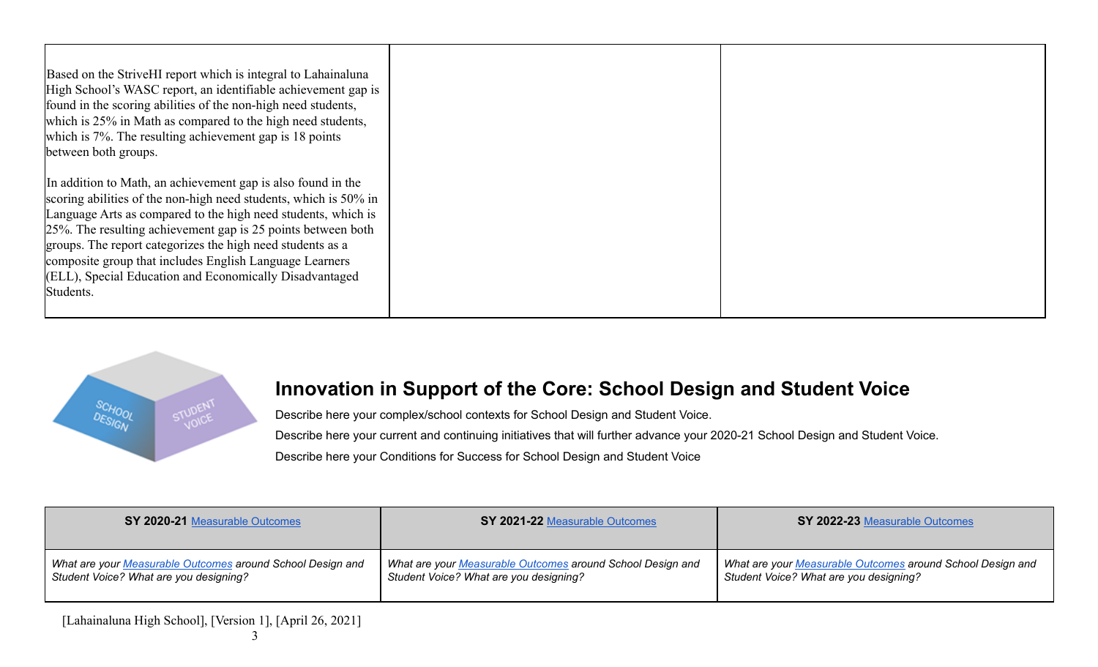| Based on the Strive HI report which is integral to Lahainaluna<br>High School's WASC report, an identifiable achievement gap is<br>found in the scoring abilities of the non-high need students,<br>which is 25% in Math as compared to the high need students,<br>which is 7%. The resulting achievement gap is 18 points<br>between both groups.                                                                                                                 |  |
|--------------------------------------------------------------------------------------------------------------------------------------------------------------------------------------------------------------------------------------------------------------------------------------------------------------------------------------------------------------------------------------------------------------------------------------------------------------------|--|
| In addition to Math, an achievement gap is also found in the<br>scoring abilities of the non-high need students, which is 50% in<br>Language Arts as compared to the high need students, which is<br>25%. The resulting achievement gap is 25 points between both<br>groups. The report categorizes the high need students as a<br>composite group that includes English Language Learners<br>(ELL), Special Education and Economically Disadvantaged<br>Students. |  |



#### **Innovation in Support of the Core: School Design and Student Voice**

Describe here your complex/school contexts for School Design and Student Voice. Describe here your current and continuing initiatives that will further advance your 2020-21 School Design and Student Voice. Describe here your Conditions for Success for School Design and Student Voice

**SY 2020-21** [Measurable](https://docs.google.com/document/d/1ZUJS1Zd6kueCzag9Ja-rDCrDVyaJFBmV-dJgk6fY1X8/edit) Outcomes **SY 2021-22** [Measurable](https://docs.google.com/document/d/1ZUJS1Zd6kueCzag9Ja-rDCrDVyaJFBmV-dJgk6fY1X8/edit) Outcomes **SY 2022-23** [Measurable](https://docs.google.com/document/d/1ZUJS1Zd6kueCzag9Ja-rDCrDVyaJFBmV-dJgk6fY1X8/edit) Outcomes *What are your [Measurable](https://docs.google.com/document/d/1ZUJS1Zd6kueCzag9Ja-rDCrDVyaJFBmV-dJgk6fY1X8) Outcomes around School Design and Student Voice? What are you designing? What are your [Measurable](https://docs.google.com/document/d/1ZUJS1Zd6kueCzag9Ja-rDCrDVyaJFBmV-dJgk6fY1X8) Outcomes around School Design and Student Voice? What are you designing? What are your [Measurable](https://docs.google.com/document/d/1ZUJS1Zd6kueCzag9Ja-rDCrDVyaJFBmV-dJgk6fY1X8) Outcomes around School Design and Student Voice? What are you designing?*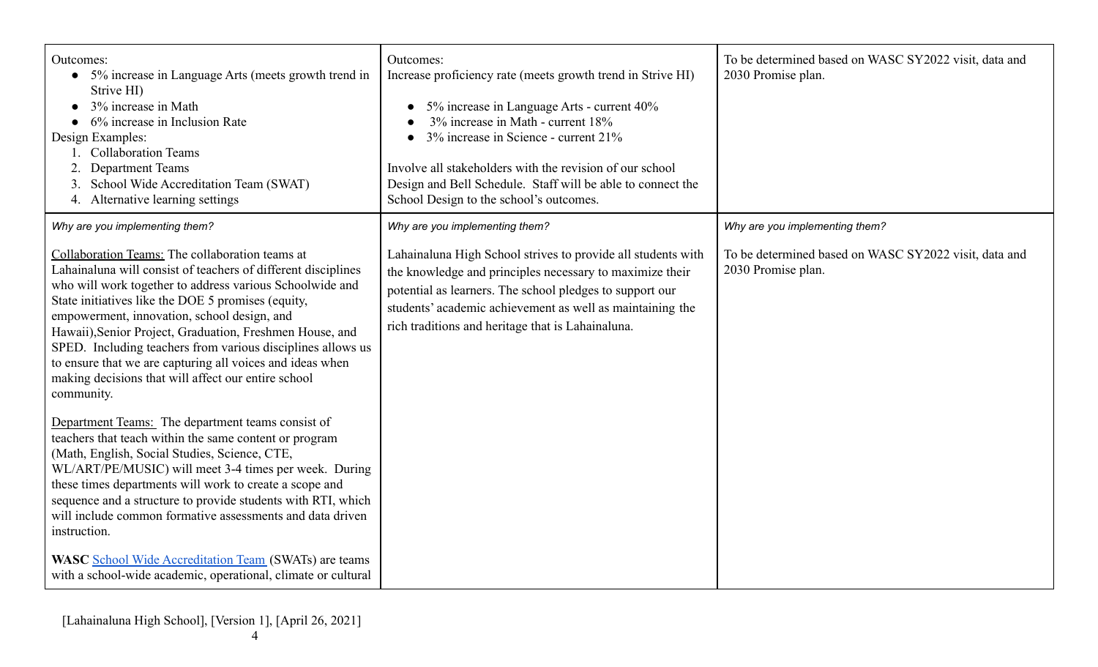| Outcomes:<br>• 5% increase in Language Arts (meets growth trend in<br>Strive HI)<br>3% increase in Math<br>6% increase in Inclusion Rate<br>Design Examples:<br><b>Collaboration Teams</b><br><b>Department Teams</b><br>School Wide Accreditation Team (SWAT)<br>4. Alternative learning settings                                                                                                                                                                                                                                             | Outcomes:<br>Increase proficiency rate (meets growth trend in Strive HI)<br>5% increase in Language Arts - current 40%<br>3% increase in Math - current 18%<br>3% increase in Science - current 21%<br>Involve all stakeholders with the revision of our school<br>Design and Bell Schedule. Staff will be able to connect the<br>School Design to the school's outcomes. | To be determined based on WASC SY2022 visit, data and<br>2030 Promise plan. |
|------------------------------------------------------------------------------------------------------------------------------------------------------------------------------------------------------------------------------------------------------------------------------------------------------------------------------------------------------------------------------------------------------------------------------------------------------------------------------------------------------------------------------------------------|---------------------------------------------------------------------------------------------------------------------------------------------------------------------------------------------------------------------------------------------------------------------------------------------------------------------------------------------------------------------------|-----------------------------------------------------------------------------|
| Why are you implementing them?                                                                                                                                                                                                                                                                                                                                                                                                                                                                                                                 | Why are you implementing them?                                                                                                                                                                                                                                                                                                                                            | Why are you implementing them?                                              |
| Collaboration Teams: The collaboration teams at<br>Lahainaluna will consist of teachers of different disciplines<br>who will work together to address various Schoolwide and<br>State initiatives like the DOE 5 promises (equity,<br>empowerment, innovation, school design, and<br>Hawaii), Senior Project, Graduation, Freshmen House, and<br>SPED. Including teachers from various disciplines allows us<br>to ensure that we are capturing all voices and ideas when<br>making decisions that will affect our entire school<br>community. | Lahainaluna High School strives to provide all students with<br>the knowledge and principles necessary to maximize their<br>potential as learners. The school pledges to support our<br>students' academic achievement as well as maintaining the<br>rich traditions and heritage that is Lahainaluna.                                                                    | To be determined based on WASC SY2022 visit, data and<br>2030 Promise plan. |
| Department Teams: The department teams consist of<br>teachers that teach within the same content or program<br>(Math, English, Social Studies, Science, CTE,<br>WL/ART/PE/MUSIC) will meet 3-4 times per week. During<br>these times departments will work to create a scope and<br>sequence and a structure to provide students with RTI, which<br>will include common formative assessments and data driven<br>instruction.                                                                                                                  |                                                                                                                                                                                                                                                                                                                                                                           |                                                                             |
| <b>WASC</b> School Wide Accreditation Team (SWATs) are teams<br>with a school-wide academic, operational, climate or cultural                                                                                                                                                                                                                                                                                                                                                                                                                  |                                                                                                                                                                                                                                                                                                                                                                           |                                                                             |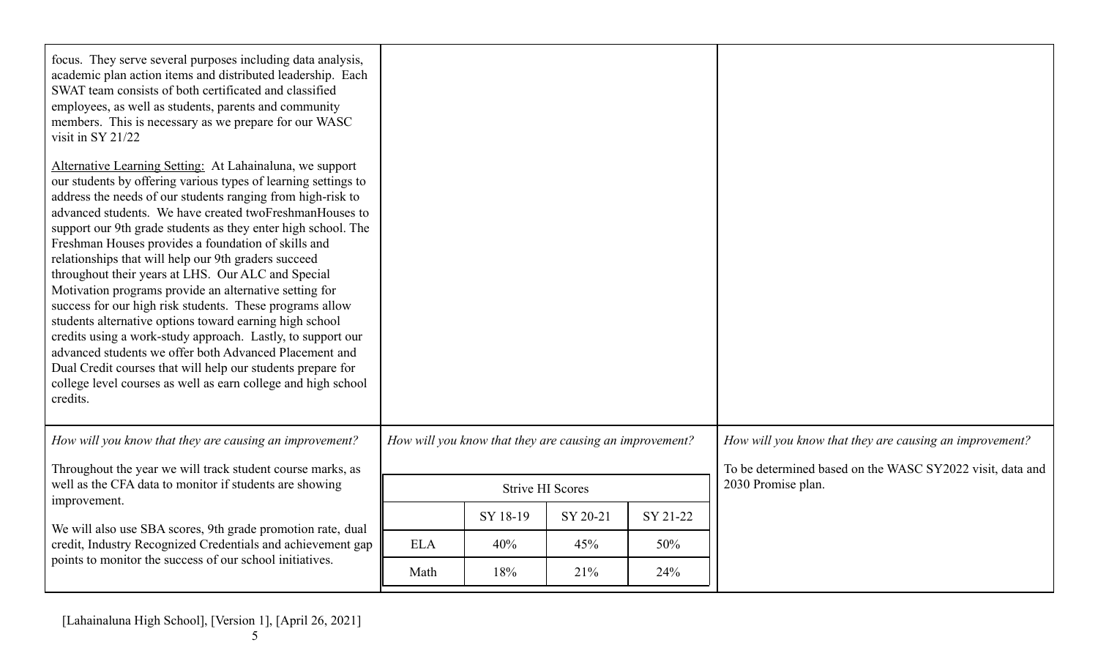| focus. They serve several purposes including data analysis,<br>academic plan action items and distributed leadership. Each<br>SWAT team consists of both certificated and classified<br>employees, as well as students, parents and community<br>members. This is necessary as we prepare for our WASC<br>visit in SY 21/22                                                                                                                                                                                                                                                                                                                                                                                                                                                                                                                                                                                                                      |            |                                                         |          |          |                                                           |
|--------------------------------------------------------------------------------------------------------------------------------------------------------------------------------------------------------------------------------------------------------------------------------------------------------------------------------------------------------------------------------------------------------------------------------------------------------------------------------------------------------------------------------------------------------------------------------------------------------------------------------------------------------------------------------------------------------------------------------------------------------------------------------------------------------------------------------------------------------------------------------------------------------------------------------------------------|------------|---------------------------------------------------------|----------|----------|-----------------------------------------------------------|
| Alternative Learning Setting: At Lahainaluna, we support<br>our students by offering various types of learning settings to<br>address the needs of our students ranging from high-risk to<br>advanced students. We have created twoFreshmanHouses to<br>support our 9th grade students as they enter high school. The<br>Freshman Houses provides a foundation of skills and<br>relationships that will help our 9th graders succeed<br>throughout their years at LHS. Our ALC and Special<br>Motivation programs provide an alternative setting for<br>success for our high risk students. These programs allow<br>students alternative options toward earning high school<br>credits using a work-study approach. Lastly, to support our<br>advanced students we offer both Advanced Placement and<br>Dual Credit courses that will help our students prepare for<br>college level courses as well as earn college and high school<br>credits. |            |                                                         |          |          |                                                           |
| How will you know that they are causing an improvement?                                                                                                                                                                                                                                                                                                                                                                                                                                                                                                                                                                                                                                                                                                                                                                                                                                                                                          |            | How will you know that they are causing an improvement? |          |          | How will you know that they are causing an improvement?   |
| Throughout the year we will track student course marks, as                                                                                                                                                                                                                                                                                                                                                                                                                                                                                                                                                                                                                                                                                                                                                                                                                                                                                       |            |                                                         |          |          | To be determined based on the WASC SY2022 visit, data and |
| well as the CFA data to monitor if students are showing<br>improvement.                                                                                                                                                                                                                                                                                                                                                                                                                                                                                                                                                                                                                                                                                                                                                                                                                                                                          |            | <b>Strive HI Scores</b>                                 |          |          | 2030 Promise plan.                                        |
| We will also use SBA scores, 9th grade promotion rate, dual                                                                                                                                                                                                                                                                                                                                                                                                                                                                                                                                                                                                                                                                                                                                                                                                                                                                                      |            | SY 18-19                                                | SY 20-21 | SY 21-22 |                                                           |
| credit, Industry Recognized Credentials and achievement gap                                                                                                                                                                                                                                                                                                                                                                                                                                                                                                                                                                                                                                                                                                                                                                                                                                                                                      | <b>ELA</b> | 40%                                                     | 45%      | 50%      |                                                           |
| points to monitor the success of our school initiatives.                                                                                                                                                                                                                                                                                                                                                                                                                                                                                                                                                                                                                                                                                                                                                                                                                                                                                         | Math       | 18%                                                     | 21%      | 24%      |                                                           |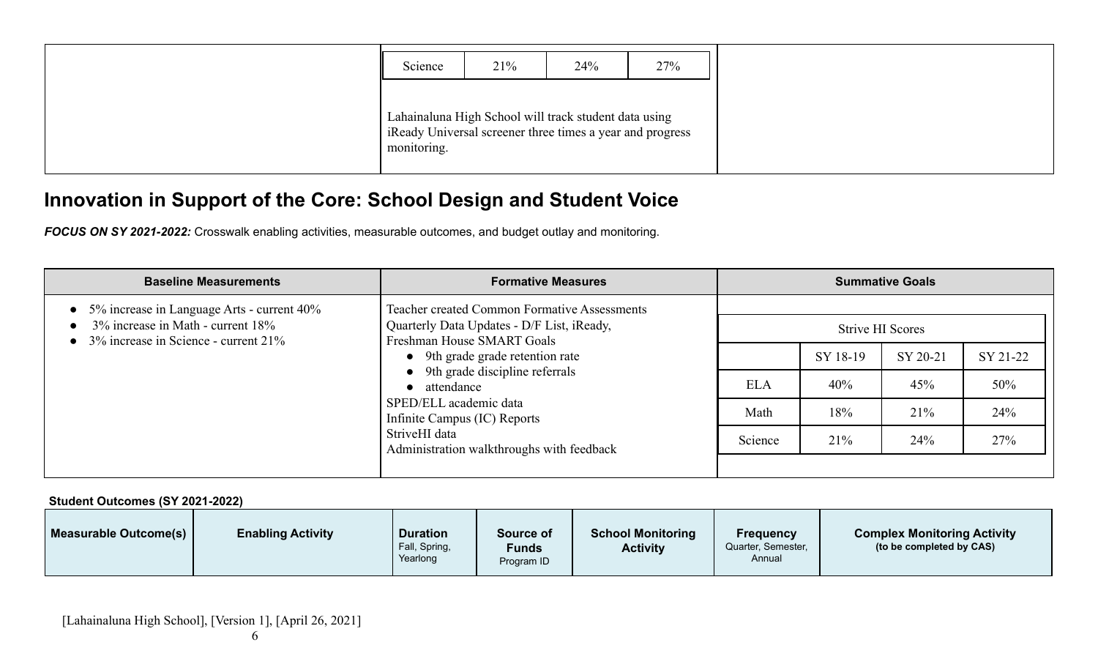| Science     | 21% | 24%                                                                                                               | 27% |
|-------------|-----|-------------------------------------------------------------------------------------------------------------------|-----|
| monitoring. |     | Lahainaluna High School will track student data using<br>Ready Universal screener three times a year and progress |     |

## **Innovation in Support of the Core: School Design and Student Voice**

*FOCUS ON SY 2021-2022:* Crosswalk enabling activities, measurable outcomes, and budget outlay and monitoring.

| <b>Baseline Measurements</b>                                                                                                  | <b>Formative Measures</b>                                                                                                                           |         |          | <b>Summative Goals</b> |          |  |
|-------------------------------------------------------------------------------------------------------------------------------|-----------------------------------------------------------------------------------------------------------------------------------------------------|---------|----------|------------------------|----------|--|
| 5% increase in Language Arts - current 40%<br>3% increase in Math - current 18%<br>$3\%$ increase in Science - current $21\%$ | <b>Teacher created Common Formative Assessments</b><br>Quarterly Data Updates - D/F List, iReady,<br>Strive HI Scores<br>Freshman House SMART Goals |         |          |                        |          |  |
|                                                                                                                               | • 9th grade grade retention rate<br>• 9th grade discipline referrals                                                                                |         | SY 18-19 | SY 20-21               | SY 21-22 |  |
|                                                                                                                               | attendance<br>$\bullet$                                                                                                                             |         |          | 45%                    | 50%      |  |
|                                                                                                                               | SPED/ELL academic data<br>Infinite Campus (IC) Reports                                                                                              | Math    | 18%      | 21%                    | 24%      |  |
|                                                                                                                               | StriveHI data<br>Administration walkthroughs with feedback                                                                                          | Science | 21%      | 24%                    | 27%      |  |

**Student Outcomes (SY 2021-2022)**

| Measurable Outcome(s) | <b>Enabling Activity</b> | <b>Duration</b>           | Source of           | <b>School Monitoring</b> | <b>Frequency</b>             | <b>Complex Monitoring Activity</b> |
|-----------------------|--------------------------|---------------------------|---------------------|--------------------------|------------------------------|------------------------------------|
|                       |                          | Fall, Spring,<br>Yearlong | Funds<br>Program ID | <b>Activity</b>          | Quarter, Semester,<br>Annual | (to be completed by CAS)           |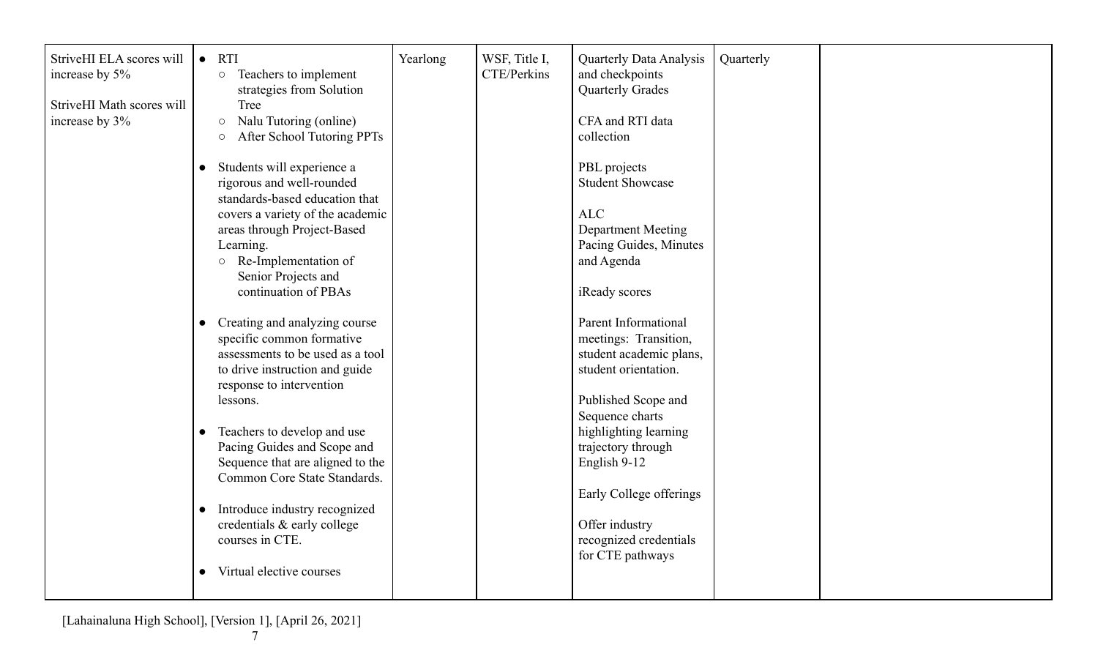| StriveHI ELA scores will  | <b>RTI</b><br>$\bullet$                    | Yearlong | WSF, Title I, | <b>Quarterly Data Analysis</b> | Quarterly |  |
|---------------------------|--------------------------------------------|----------|---------------|--------------------------------|-----------|--|
| increase by 5%            | Teachers to implement<br>$\bigcirc$        |          | CTE/Perkins   | and checkpoints                |           |  |
|                           | strategies from Solution                   |          |               | <b>Quarterly Grades</b>        |           |  |
| StriveHI Math scores will | Tree                                       |          |               |                                |           |  |
| increase by 3%            | Nalu Tutoring (online)<br>$\circ$          |          |               | CFA and RTI data               |           |  |
|                           | After School Tutoring PPTs<br>$\bigcirc$   |          |               | collection                     |           |  |
|                           |                                            |          |               |                                |           |  |
|                           | Students will experience a                 |          |               | PBL projects                   |           |  |
|                           | rigorous and well-rounded                  |          |               | <b>Student Showcase</b>        |           |  |
|                           | standards-based education that             |          |               |                                |           |  |
|                           | covers a variety of the academic           |          |               | <b>ALC</b>                     |           |  |
|                           | areas through Project-Based                |          |               | <b>Department Meeting</b>      |           |  |
|                           | Learning.                                  |          |               | Pacing Guides, Minutes         |           |  |
|                           | o Re-Implementation of                     |          |               | and Agenda                     |           |  |
|                           | Senior Projects and                        |          |               |                                |           |  |
|                           | continuation of PBAs                       |          |               | iReady scores                  |           |  |
|                           |                                            |          |               |                                |           |  |
|                           | Creating and analyzing course              |          |               | <b>Parent Informational</b>    |           |  |
|                           | specific common formative                  |          |               | meetings: Transition,          |           |  |
|                           | assessments to be used as a tool           |          |               | student academic plans,        |           |  |
|                           | to drive instruction and guide             |          |               | student orientation.           |           |  |
|                           | response to intervention                   |          |               |                                |           |  |
|                           | lessons.                                   |          |               | Published Scope and            |           |  |
|                           |                                            |          |               | Sequence charts                |           |  |
|                           | Teachers to develop and use                |          |               | highlighting learning          |           |  |
|                           | Pacing Guides and Scope and                |          |               | trajectory through             |           |  |
|                           | Sequence that are aligned to the           |          |               | English 9-12                   |           |  |
|                           | Common Core State Standards.               |          |               |                                |           |  |
|                           |                                            |          |               | Early College offerings        |           |  |
|                           | Introduce industry recognized<br>$\bullet$ |          |               |                                |           |  |
|                           | credentials & early college                |          |               | Offer industry                 |           |  |
|                           | courses in CTE.                            |          |               | recognized credentials         |           |  |
|                           |                                            |          |               | for CTE pathways               |           |  |
|                           | Virtual elective courses<br>$\bullet$      |          |               |                                |           |  |
|                           |                                            |          |               |                                |           |  |
|                           |                                            |          |               |                                |           |  |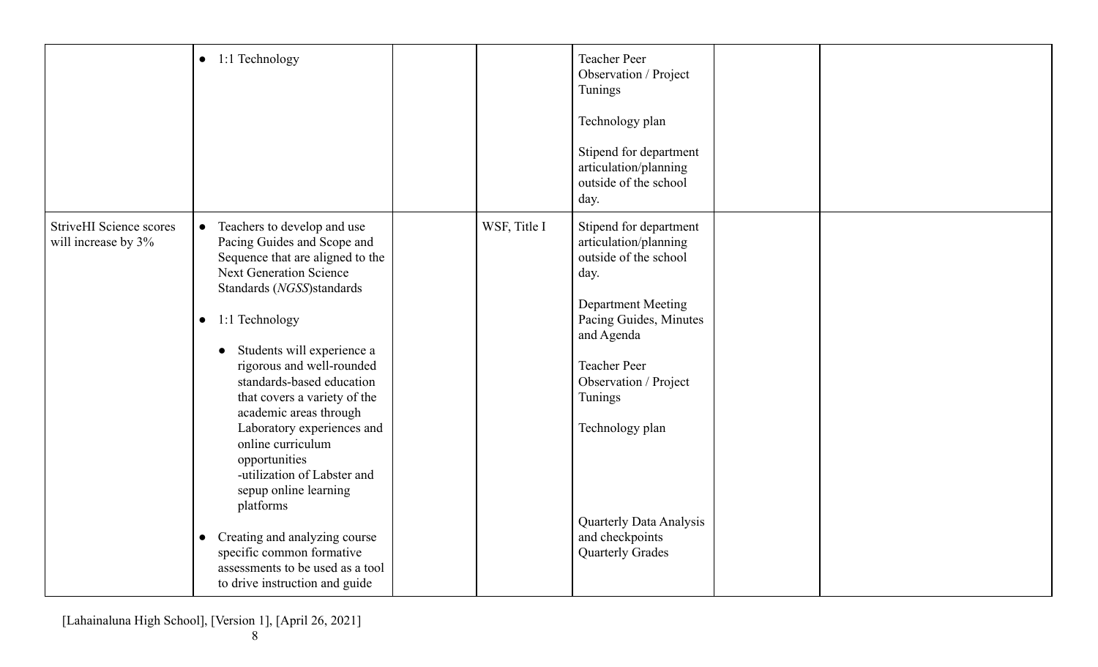|                                                       | $\bullet$ 1:1 Technology                                                                                                                                                                                                                                                                                                                                                                                                                                                                                                                                                                                                                           |              | <b>Teacher Peer</b><br>Observation / Project<br>Tunings<br>Technology plan<br>Stipend for department<br>articulation/planning<br>outside of the school<br>day.                                                                                                                                               |  |
|-------------------------------------------------------|----------------------------------------------------------------------------------------------------------------------------------------------------------------------------------------------------------------------------------------------------------------------------------------------------------------------------------------------------------------------------------------------------------------------------------------------------------------------------------------------------------------------------------------------------------------------------------------------------------------------------------------------------|--------------|--------------------------------------------------------------------------------------------------------------------------------------------------------------------------------------------------------------------------------------------------------------------------------------------------------------|--|
| <b>StriveHI</b> Science scores<br>will increase by 3% | Teachers to develop and use<br>$\bullet$<br>Pacing Guides and Scope and<br>Sequence that are aligned to the<br><b>Next Generation Science</b><br>Standards (NGSS)standards<br>$\bullet$ 1:1 Technology<br>Students will experience a<br>rigorous and well-rounded<br>standards-based education<br>that covers a variety of the<br>academic areas through<br>Laboratory experiences and<br>online curriculum<br>opportunities<br>-utilization of Labster and<br>sepup online learning<br>platforms<br>Creating and analyzing course<br>$\bullet$<br>specific common formative<br>assessments to be used as a tool<br>to drive instruction and guide | WSF, Title I | Stipend for department<br>articulation/planning<br>outside of the school<br>day.<br>Department Meeting<br>Pacing Guides, Minutes<br>and Agenda<br><b>Teacher Peer</b><br>Observation / Project<br>Tunings<br>Technology plan<br><b>Quarterly Data Analysis</b><br>and checkpoints<br><b>Quarterly Grades</b> |  |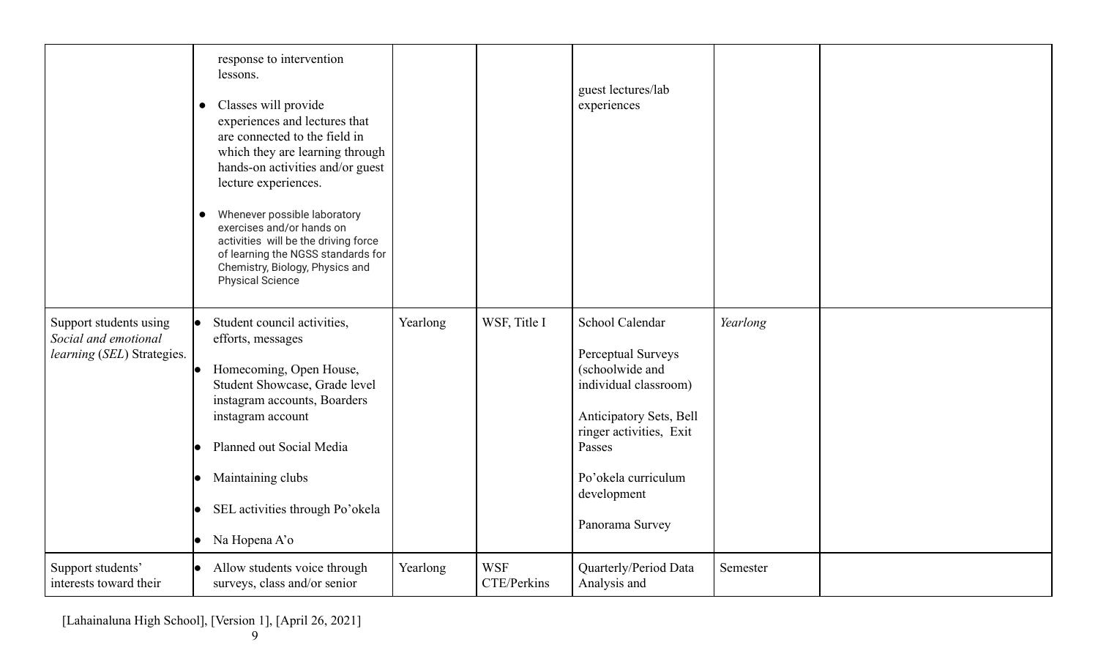|                                                                              | response to intervention<br>lessons.<br>Classes will provide<br>$\bullet$<br>experiences and lectures that<br>are connected to the field in<br>which they are learning through<br>hands-on activities and/or guest<br>lecture experiences.<br>Whenever possible laboratory<br>exercises and/or hands on<br>activities will be the driving force<br>of learning the NGSS standards for<br>Chemistry, Biology, Physics and<br><b>Physical Science</b> |          |                           | guest lectures/lab<br>experiences                                                                                                                                                                          |          |  |
|------------------------------------------------------------------------------|-----------------------------------------------------------------------------------------------------------------------------------------------------------------------------------------------------------------------------------------------------------------------------------------------------------------------------------------------------------------------------------------------------------------------------------------------------|----------|---------------------------|------------------------------------------------------------------------------------------------------------------------------------------------------------------------------------------------------------|----------|--|
| Support students using<br>Social and emotional<br>learning (SEL) Strategies. | Student council activities,<br>efforts, messages<br>Homecoming, Open House,<br>Student Showcase, Grade level<br>instagram accounts, Boarders<br>instagram account<br>Planned out Social Media<br>Maintaining clubs<br>SEL activities through Po'okela<br>Na Hopena A'o                                                                                                                                                                              | Yearlong | WSF, Title I              | School Calendar<br>Perceptual Surveys<br>(schoolwide and<br>individual classroom)<br>Anticipatory Sets, Bell<br>ringer activities, Exit<br>Passes<br>Po'okela curriculum<br>development<br>Panorama Survey | Yearlong |  |
| Support students'<br>interests toward their                                  | Allow students voice through<br>surveys, class and/or senior                                                                                                                                                                                                                                                                                                                                                                                        | Yearlong | <b>WSF</b><br>CTE/Perkins | Quarterly/Period Data<br>Analysis and                                                                                                                                                                      | Semester |  |

[Lahainaluna High School], [Version 1], [April 26, 2021]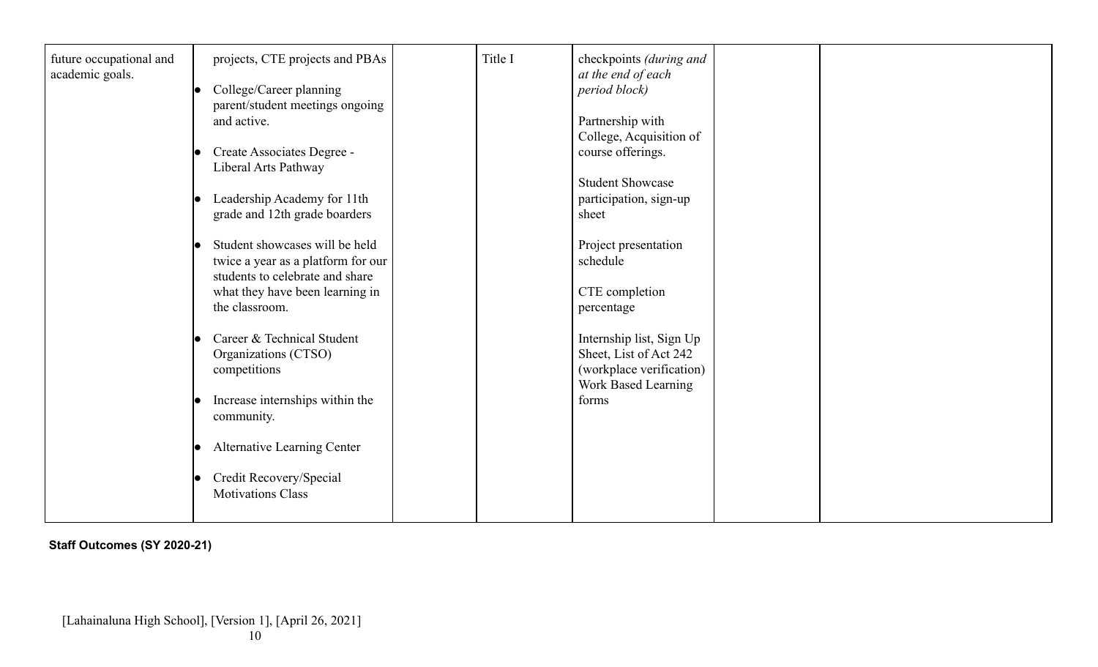| future occupational and<br>academic goals. | projects, CTE projects and PBAs    |  | Title I       | checkpoints (during and<br>at the end of each |  |
|--------------------------------------------|------------------------------------|--|---------------|-----------------------------------------------|--|
|                                            | College/Career planning            |  | period block) |                                               |  |
|                                            | parent/student meetings ongoing    |  |               |                                               |  |
|                                            | and active.                        |  |               | Partnership with                              |  |
|                                            |                                    |  |               | College, Acquisition of                       |  |
|                                            | Create Associates Degree -         |  |               | course offerings.                             |  |
|                                            | Liberal Arts Pathway               |  |               |                                               |  |
|                                            |                                    |  |               | <b>Student Showcase</b>                       |  |
|                                            | Leadership Academy for 11th        |  |               | participation, sign-up                        |  |
|                                            | grade and 12th grade boarders      |  |               | sheet                                         |  |
|                                            | Student showcases will be held     |  |               |                                               |  |
|                                            | twice a year as a platform for our |  |               | Project presentation<br>schedule              |  |
|                                            | students to celebrate and share    |  |               |                                               |  |
|                                            | what they have been learning in    |  |               | CTE completion                                |  |
|                                            | the classroom.                     |  |               | percentage                                    |  |
|                                            |                                    |  |               |                                               |  |
|                                            | Career & Technical Student         |  |               | Internship list, Sign Up                      |  |
|                                            | Organizations (CTSO)               |  |               | Sheet, List of Act 242                        |  |
|                                            | competitions                       |  |               | (workplace verification)                      |  |
|                                            |                                    |  |               | Work Based Learning                           |  |
|                                            | Increase internships within the    |  |               | forms                                         |  |
|                                            | community.                         |  |               |                                               |  |
|                                            | <b>Alternative Learning Center</b> |  |               |                                               |  |
|                                            |                                    |  |               |                                               |  |
|                                            | Credit Recovery/Special            |  |               |                                               |  |
|                                            | <b>Motivations Class</b>           |  |               |                                               |  |
|                                            |                                    |  |               |                                               |  |

**Staff Outcomes (SY 2020-21)**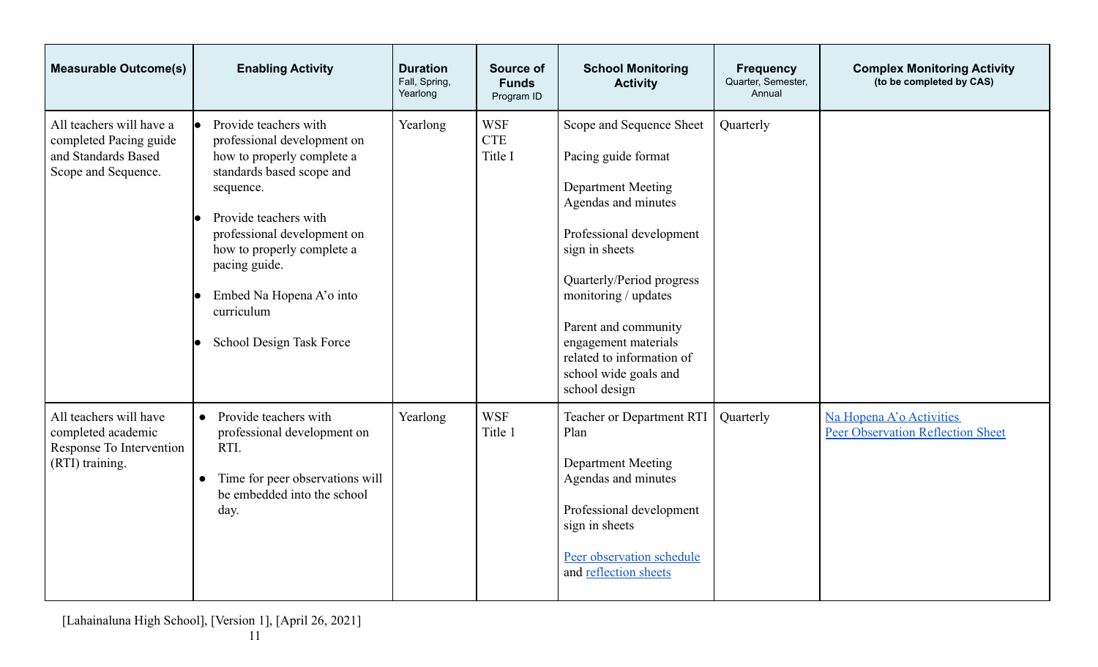| <b>Measurable Outcome(s)</b>                                                                     | <b>Enabling Activity</b>                                                                                                                                                                                                                                                                                  | <b>Duration</b><br>Fall, Spring,<br>Yearlong | Source of<br><b>Funds</b><br>Program ID | <b>School Monitoring</b><br><b>Activity</b>                                                                                                                                                                                                                                                                                   | <b>Frequency</b><br>Quarter, Semester,<br>Annual | <b>Complex Monitoring Activity</b><br>(to be completed by CAS)       |
|--------------------------------------------------------------------------------------------------|-----------------------------------------------------------------------------------------------------------------------------------------------------------------------------------------------------------------------------------------------------------------------------------------------------------|----------------------------------------------|-----------------------------------------|-------------------------------------------------------------------------------------------------------------------------------------------------------------------------------------------------------------------------------------------------------------------------------------------------------------------------------|--------------------------------------------------|----------------------------------------------------------------------|
| All teachers will have a<br>completed Pacing guide<br>and Standards Based<br>Scope and Sequence. | Provide teachers with<br>professional development on<br>how to properly complete a<br>standards based scope and<br>sequence.<br>Provide teachers with<br>professional development on<br>how to properly complete a<br>pacing guide.<br>Embed Na Hopena A'o into<br>curriculum<br>School Design Task Force | Yearlong                                     | <b>WSF</b><br><b>CTE</b><br>Title I     | Scope and Sequence Sheet<br>Pacing guide format<br><b>Department Meeting</b><br>Agendas and minutes<br>Professional development<br>sign in sheets<br>Quarterly/Period progress<br>monitoring / updates<br>Parent and community<br>engagement materials<br>related to information of<br>school wide goals and<br>school design | Quarterly                                        |                                                                      |
| All teachers will have<br>completed academic<br>Response To Intervention<br>(RTI) training.      | Provide teachers with<br>$\bullet$<br>professional development on<br>RTI.<br>Time for peer observations will<br>$\bullet$<br>be embedded into the school<br>day.                                                                                                                                          | Yearlong                                     | <b>WSF</b><br>Title 1                   | Teacher or Department RTI<br>Plan<br><b>Department Meeting</b><br>Agendas and minutes<br>Professional development<br>sign in sheets<br>Peer observation schedule<br>and reflection sheets                                                                                                                                     | Quarterly                                        | Na Hopena A'o Activities<br><b>Peer Observation Reflection Sheet</b> |